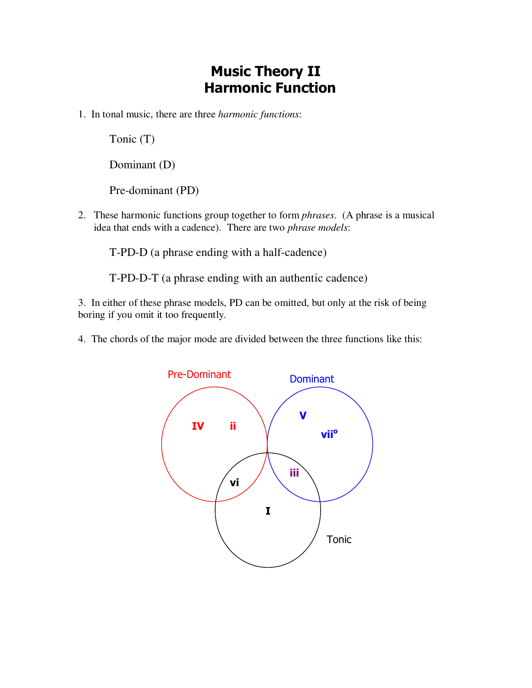## **Music Theory II Harmonic Function**

1. In tonal music, there are three *harmonic functions*:

Tonic (T)

Dominant (D)

Pre-dominant (PD)

2. These harmonic functions group together to form *phrases*. (A phrase is a musical idea that ends with a cadence). There are two *phrase models*:

T-PD-D (a phrase ending with a half-cadence)

T-PD-D-T (a phrase ending with an authentic cadence)

3. In either of these phrase models, PD can be omitted, but only at the risk of being boring if you omit it too frequently.

4. The chords of the major mode are divided between the three functions like this:

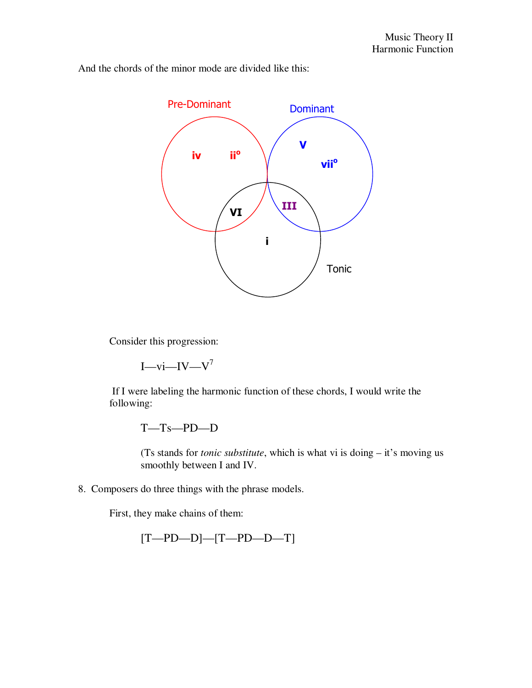And the chords of the minor mode are divided like this:



Consider this progression:

 $I$ —vi—IV—V<sup>7</sup>

 If I were labeling the harmonic function of these chords, I would write the following:

T—Ts—PD—D

(Ts stands for *tonic substitute*, which is what vi is doing – it's moving us smoothly between I and IV.

8. Composers do three things with the phrase models.

First, they make chains of them:

[T—PD—D]—[T—PD—D—T]